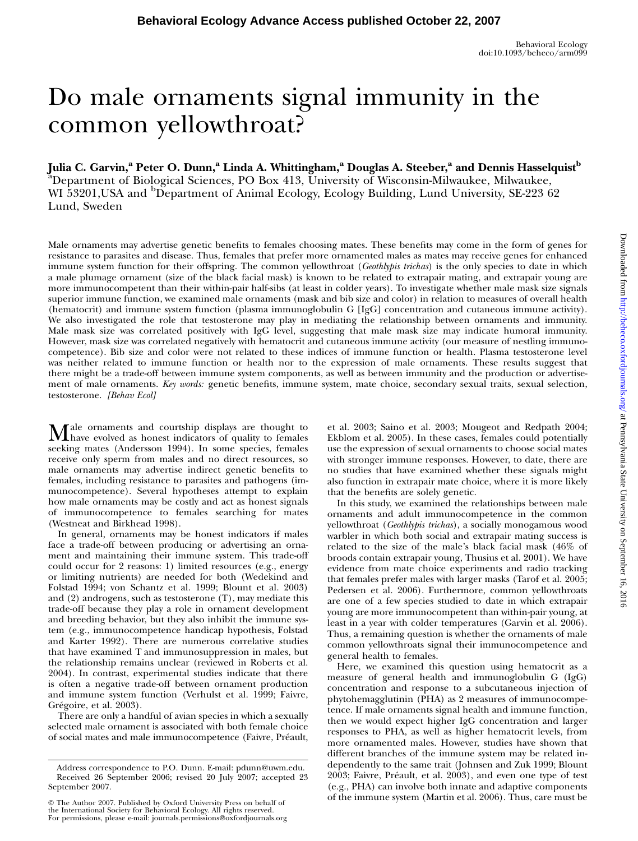# Do male ornaments signal immunity in the common yellowthroat?

Julia C. Garvin,<sup>a</sup> Peter O. Dunn,<sup>a</sup> Linda A. Whittingham,<sup>a</sup> Douglas A. Steeber,<sup>a</sup> and Dennis Hasselquist<sup>b</sup> a Department of Biological Sciences, PO Box 413, University of Wisconsin-Milwaukee, Milwaukee, WI 53201,USA and <sup>b</sup>Department of Animal Ecology, Ecology Building, Lund University, SE-223 62 Lund, Sweden

Male ornaments may advertise genetic benefits to females choosing mates. These benefits may come in the form of genes for resistance to parasites and disease. Thus, females that prefer more ornamented males as mates may receive genes for enhanced immune system function for their offspring. The common yellowthroat (Geothlypis trichas) is the only species to date in which a male plumage ornament (size of the black facial mask) is known to be related to extrapair mating, and extrapair young are more immunocompetent than their within-pair half-sibs (at least in colder years). To investigate whether male mask size signals superior immune function, we examined male ornaments (mask and bib size and color) in relation to measures of overall health (hematocrit) and immune system function (plasma immunoglobulin G [IgG] concentration and cutaneous immune activity). We also investigated the role that testosterone may play in mediating the relationship between ornaments and immunity. Male mask size was correlated positively with IgG level, suggesting that male mask size may indicate humoral immunity. However, mask size was correlated negatively with hematocrit and cutaneous immune activity (our measure of nestling immunocompetence). Bib size and color were not related to these indices of immune function or health. Plasma testosterone level was neither related to immune function or health nor to the expression of male ornaments. These results suggest that there might be a trade-off between immune system components, as well as between immunity and the production or advertisement of male ornaments. Key words: genetic benefits, immune system, mate choice, secondary sexual traits, sexual selection, testosterone. [Behav Ecol]

 $M_{\text{have}}$  evolved as honest indicators of quality to females seeking mates (Andersson 1994). In some species, females receive only sperm from males and no direct resources, so male ornaments may advertise indirect genetic benefits to females, including resistance to parasites and pathogens (immunocompetence). Several hypotheses attempt to explain how male ornaments may be costly and act as honest signals of immunocompetence to females searching for mates (Westneat and Birkhead 1998).

In general, ornaments may be honest indicators if males face a trade-off between producing or advertising an ornament and maintaining their immune system. This trade-off could occur for 2 reasons: 1) limited resources (e.g., energy or limiting nutrients) are needed for both (Wedekind and Folstad 1994; von Schantz et al. 1999; Blount et al. 2003) and (2) androgens, such as testosterone (T), may mediate this trade-off because they play a role in ornament development and breeding behavior, but they also inhibit the immune system (e.g., immunocompetence handicap hypothesis, Folstad and Karter 1992). There are numerous correlative studies that have examined T and immunosuppression in males, but the relationship remains unclear (reviewed in Roberts et al. 2004). In contrast, experimental studies indicate that there is often a negative trade-off between ornament production and immune system function (Verhulst et al. 1999; Faivre, Grégoire, et al. 2003).

There are only a handful of avian species in which a sexually selected male ornament is associated with both female choice of social mates and male immunocompetence (Faivre, Préault,

et al. 2003; Saino et al. 2003; Mougeot and Redpath 2004; Ekblom et al. 2005). In these cases, females could potentially use the expression of sexual ornaments to choose social mates with stronger immune responses. However, to date, there are no studies that have examined whether these signals might also function in extrapair mate choice, where it is more likely that the benefits are solely genetic.

In this study, we examined the relationships between male ornaments and adult immunocompetence in the common yellowthroat (Geothlypis trichas), a socially monogamous wood warbler in which both social and extrapair mating success is related to the size of the male's black facial mask (46% of broods contain extrapair young, Thusius et al. 2001). We have evidence from mate choice experiments and radio tracking that females prefer males with larger masks (Tarof et al. 2005; Pedersen et al. 2006). Furthermore, common yellowthroats are one of a few species studied to date in which extrapair young are more immunocompetent than within-pair young, at least in a year with colder temperatures (Garvin et al. 2006). Thus, a remaining question is whether the ornaments of male common yellowthroats signal their immunocompetence and general health to females.

Here, we examined this question using hematocrit as a measure of general health and immunoglobulin G (IgG) concentration and response to a subcutaneous injection of phytohemagglutinin (PHA) as 2 measures of immunocompetence. If male ornaments signal health and immune function, then we would expect higher IgG concentration and larger responses to PHA, as well as higher hematocrit levels, from more ornamented males. However, studies have shown that different branches of the immune system may be related independently to the same trait (Johnsen and Zuk 1999; Blount 2003; Faivre, Préault, et al. 2003), and even one type of test (e.g., PHA) can involve both innate and adaptive components of the immune system (Martin et al. 2006). Thus, care must be

Address correspondence to P.O. Dunn. E-mail: pdunn@uwm.edu. Received 26 September 2006; revised 20 July 2007; accepted 23 September 2007.

The Author 2007. Published by Oxford University Press on behalf of the International Society for Behavioral Ecology. All rights reserved. For permissions, please e-mail: journals.permissions@oxfordjournals.org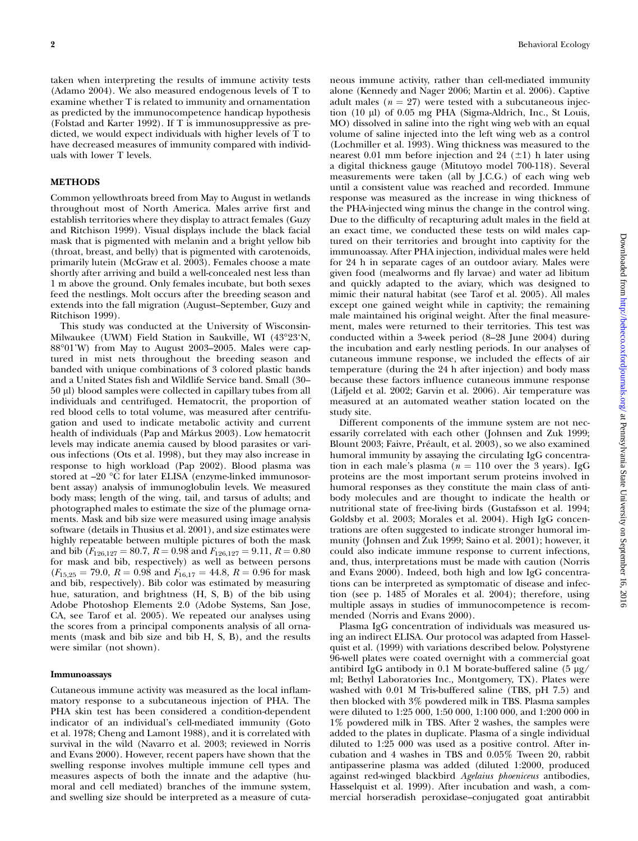taken when interpreting the results of immune activity tests (Adamo 2004). We also measured endogenous levels of T to examine whether T is related to immunity and ornamentation as predicted by the immunocompetence handicap hypothesis (Folstad and Karter 1992). If T is immunosuppressive as predicted, we would expect individuals with higher levels of  $\bar{T}$  to have decreased measures of immunity compared with individuals with lower T levels.

# METHODS

Common yellowthroats breed from May to August in wetlands throughout most of North America. Males arrive first and establish territories where they display to attract females (Guzy and Ritchison 1999). Visual displays include the black facial mask that is pigmented with melanin and a bright yellow bib (throat, breast, and belly) that is pigmented with carotenoids, primarily lutein (McGraw et al. 2003). Females choose a mate shortly after arriving and build a well-concealed nest less than 1 m above the ground. Only females incubate, but both sexes feed the nestlings. Molt occurs after the breeding season and extends into the fall migration (August–September, Guzy and Ritchison 1999).

This study was conducted at the University of Wisconsin-Milwaukee (UWM) Field Station in Saukville, WI (43-23'N, 88°01'W) from May to August 2003-2005. Males were captured in mist nets throughout the breeding season and banded with unique combinations of 3 colored plastic bands and a United States fish and Wildlife Service band. Small (30– 50 ll) blood samples were collected in capillary tubes from all individuals and centrifuged. Hematocrit, the proportion of red blood cells to total volume, was measured after centrifugation and used to indicate metabolic activity and current health of individuals (Pap and Márkus 2003). Low hematocrit levels may indicate anemia caused by blood parasites or various infections (Ots et al. 1998), but they may also increase in response to high workload (Pap 2002). Blood plasma was stored at –20 °C for later ELISA (enzyme-linked immunosorbent assay) analysis of immunoglobulin levels. We measured body mass; length of the wing, tail, and tarsus of adults; and photographed males to estimate the size of the plumage ornaments. Mask and bib size were measured using image analysis software (details in Thusius et al. 2001), and size estimates were highly repeatable between multiple pictures of both the mask and bib ( $F_{126,127} = 80.7$ ,  $R = 0.98$  and  $F_{126,127} = 9.11$ ,  $R = 0.80$ for mask and bib, respectively) as well as between persons  $(F_{15,25} = 79.0, R = 0.98 \text{ and } F_{16,17} = 44.8, R = 0.96 \text{ for mask}$ and bib, respectively). Bib color was estimated by measuring hue, saturation, and brightness (H, S, B) of the bib using Adobe Photoshop Elements 2.0 (Adobe Systems, San Jose, CA, see Tarof et al. 2005). We repeated our analyses using the scores from a principal components analysis of all ornaments (mask and bib size and bib H, S, B), and the results were similar (not shown).

#### Immunoassays

Cutaneous immune activity was measured as the local inflammatory response to a subcutaneous injection of PHA. The PHA skin test has been considered a condition-dependent indicator of an individual's cell-mediated immunity (Goto et al. 1978; Cheng and Lamont 1988), and it is correlated with survival in the wild (Navarro et al. 2003; reviewed in Norris and Evans 2000). However, recent papers have shown that the swelling response involves multiple immune cell types and measures aspects of both the innate and the adaptive (humoral and cell mediated) branches of the immune system, and swelling size should be interpreted as a measure of cutaneous immune activity, rather than cell-mediated immunity alone (Kennedy and Nager 2006; Martin et al. 2006). Captive adult males ( $n = 27$ ) were tested with a subcutaneous injection (10 µl) of 0.05 mg PHA (Sigma-Aldrich, Inc., St Louis, MO) dissolved in saline into the right wing web with an equal volume of saline injected into the left wing web as a control (Lochmiller et al. 1993). Wing thickness was measured to the nearest 0.01 mm before injection and 24  $(\pm 1)$  h later using a digital thickness gauge (Mitutoyo model 700-118). Several measurements were taken (all by J.C.G.) of each wing web until a consistent value was reached and recorded. Immune response was measured as the increase in wing thickness of the PHA-injected wing minus the change in the control wing. Due to the difficulty of recapturing adult males in the field at an exact time, we conducted these tests on wild males captured on their territories and brought into captivity for the immunoassay. After PHA injection, individual males were held for 24 h in separate cages of an outdoor aviary. Males were given food (mealworms and fly larvae) and water ad libitum and quickly adapted to the aviary, which was designed to mimic their natural habitat (see Tarof et al. 2005). All males except one gained weight while in captivity; the remaining male maintained his original weight. After the final measurement, males were returned to their territories. This test was conducted within a 3-week period (8–28 June 2004) during the incubation and early nestling periods. In our analyses of cutaneous immune response, we included the effects of air temperature (during the 24 h after injection) and body mass because these factors influence cutaneous immune response (Lifjeld et al. 2002; Garvin et al. 2006). Air temperature was measured at an automated weather station located on the study site.

Different components of the immune system are not necessarily correlated with each other (Johnsen and Zuk 1999; Blount 2003; Faivre, Préault, et al. 2003), so we also examined humoral immunity by assaying the circulating IgG concentration in each male's plasma ( $n = 110$  over the 3 years). IgG proteins are the most important serum proteins involved in humoral responses as they constitute the main class of antibody molecules and are thought to indicate the health or nutritional state of free-living birds (Gustafsson et al. 1994; Goldsby et al. 2003; Morales et al. 2004). High IgG concentrations are often suggested to indicate stronger humoral immunity (Johnsen and Zuk 1999; Saino et al. 2001); however, it could also indicate immune response to current infections, and, thus, interpretations must be made with caution (Norris and Evans 2000). Indeed, both high and low IgG concentrations can be interpreted as symptomatic of disease and infection (see p. 1485 of Morales et al. 2004); therefore, using multiple assays in studies of immunocompetence is recommended (Norris and Evans 2000).

Plasma IgG concentration of individuals was measured using an indirect ELISA. Our protocol was adapted from Hasselquist et al. (1999) with variations described below. Polystyrene 96-well plates were coated overnight with a commercial goat antibird IgG antibody in 0.1 M borate-buffered saline (5  $\mu$ g/ ml; Bethyl Laboratories Inc., Montgomery, TX). Plates were washed with 0.01 M Tris-buffered saline (TBS, pH 7.5) and then blocked with 3% powdered milk in TBS. Plasma samples were diluted to 1:25 000, 1:50 000, 1:100 000, and 1:200 000 in 1% powdered milk in TBS. After 2 washes, the samples were added to the plates in duplicate. Plasma of a single individual diluted to 1:25 000 was used as a positive control. After incubation and 4 washes in TBS and 0.05% Tween 20, rabbit antipasserine plasma was added (diluted 1:2000, produced against red-winged blackbird Agelaius phoeniceus antibodies, Hasselquist et al. 1999). After incubation and wash, a commercial horseradish peroxidase–conjugated goat antirabbit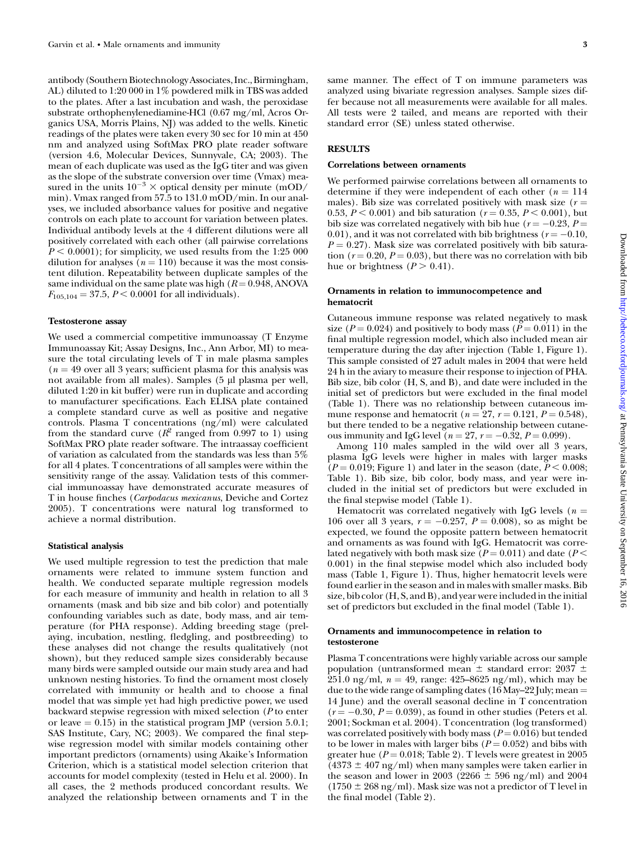antibody (Southern Biotechnology Associates, Inc., Birmingham, AL) diluted to 1:20 000 in 1% powdered milk in TBS was added to the plates. After a last incubation and wash, the peroxidase substrate orthophenylenediamine-HCl (0.67 mg/ml, Acros Organics USA, Morris Plains, NJ) was added to the wells. Kinetic readings of the plates were taken every 30 sec for 10 min at 450 nm and analyzed using SoftMax PRO plate reader software (version 4.6, Molecular Devices, Sunnyvale, CA; 2003). The mean of each duplicate was used as the IgG titer and was given as the slope of the substrate conversion over time (Vmax) measured in the units  $10^{-3}$   $\times$  optical density per minute (mOD/ min). Vmax ranged from 57.5 to 131.0 mOD/min. In our analyses, we included absorbance values for positive and negative controls on each plate to account for variation between plates. Individual antibody levels at the 4 different dilutions were all positively correlated with each other (all pairwise correlations  $P < 0.0001$ ; for simplicity, we used results from the 1:25 000 dilution for analyses ( $n = 110$ ) because it was the most consistent dilution. Repeatability between duplicate samples of the same individual on the same plate was high  $(R = 0.948, ANOVA)$  $F_{105,104} = 37.5, P < 0.0001$  for all individuals).

#### Testosterone assay

We used a commercial competitive immunoassay (T Enzyme Immunoassay Kit; Assay Designs, Inc., Ann Arbor, MI) to measure the total circulating levels of T in male plasma samples  $(n = 49$  over all 3 years; sufficient plasma for this analysis was not available from all males). Samples  $(5 \mu l)$  plasma per well, diluted 1:20 in kit buffer) were run in duplicate and according to manufacturer specifications. Each ELISA plate contained a complete standard curve as well as positive and negative controls. Plasma T concentrations (ng/ml) were calculated from the standard curve ( $R^2$  ranged from 0.997 to 1) using SoftMax PRO plate reader software. The intraassay coefficient of variation as calculated from the standards was less than 5% for all 4 plates. T concentrations of all samples were within the sensitivity range of the assay. Validation tests of this commercial immunoassay have demonstrated accurate measures of T in house finches (Carpodacus mexicanus, Deviche and Cortez 2005). T concentrations were natural log transformed to achieve a normal distribution.

#### Statistical analysis

We used multiple regression to test the prediction that male ornaments were related to immune system function and health. We conducted separate multiple regression models for each measure of immunity and health in relation to all 3 ornaments (mask and bib size and bib color) and potentially confounding variables such as date, body mass, and air temperature (for PHA response). Adding breeding stage (prelaying, incubation, nestling, fledgling, and postbreeding) to these analyses did not change the results qualitatively (not shown), but they reduced sample sizes considerably because many birds were sampled outside our main study area and had unknown nesting histories. To find the ornament most closely correlated with immunity or health and to choose a final model that was simple yet had high predictive power, we used backward stepwise regression with mixed selection (P to enter or leave  $= 0.15$ ) in the statistical program JMP (version 5.0.1; SAS Institute, Cary, NC; 2003). We compared the final stepwise regression model with similar models containing other important predictors (ornaments) using Akaike's Information Criterion, which is a statistical model selection criterion that accounts for model complexity (tested in Helu et al. 2000). In all cases, the 2 methods produced concordant results. We analyzed the relationship between ornaments and T in the

same manner. The effect of T on immune parameters was analyzed using bivariate regression analyses. Sample sizes differ because not all measurements were available for all males. All tests were 2 tailed, and means are reported with their standard error (SE) unless stated otherwise.

## RESULTS

### Correlations between ornaments

We performed pairwise correlations between all ornaments to determine if they were independent of each other ( $n = 114$ ) males). Bib size was correlated positively with mask size ( $r =$ 0.53,  $P \le 0.001$ ) and bib saturation ( $r = 0.35, P \le 0.001$ ), but bib size was correlated negatively with bib hue ( $r = -0.23$ ,  $P =$ 0.01), and it was not correlated with bib brightness ( $r = -0.10$ ,  $P = 0.27$ ). Mask size was correlated positively with bib saturation ( $r = 0.20$ ,  $P = 0.03$ ), but there was no correlation with bib hue or brightness ( $P > 0.41$ ).

## Ornaments in relation to immunocompetence and hematocrit

Cutaneous immune response was related negatively to mask size ( $P = 0.024$ ) and positively to body mass ( $P = 0.011$ ) in the final multiple regression model, which also included mean air temperature during the day after injection (Table 1, Figure 1). This sample consisted of 27 adult males in 2004 that were held 24 h in the aviary to measure their response to injection of PHA. Bib size, bib color (H, S, and B), and date were included in the initial set of predictors but were excluded in the final model (Table 1). There was no relationship between cutaneous immune response and hematocrit ( $n = 27$ ,  $r = 0.121$ ,  $P = 0.548$ ), but there tended to be a negative relationship between cutaneous immunity and IgG level ( $n = 27$ ,  $r = -0.32$ ,  $P = 0.099$ ).

Among 110 males sampled in the wild over all 3 years, plasma IgG levels were higher in males with larger masks  $(P = 0.019;$  Figure 1) and later in the season (date,  $P < 0.008;$ Table 1). Bib size, bib color, body mass, and year were included in the initial set of predictors but were excluded in the final stepwise model (Table 1).

Hematocrit was correlated negatively with IgG levels ( $n =$ 106 over all 3 years,  $r = -0.257$ ,  $P = 0.008$ ), so as might be expected, we found the opposite pattern between hematocrit and ornaments as was found with IgG. Hematocrit was correlated negatively with both mask size ( $P = 0.011$ ) and date ( $P <$ 0.001) in the final stepwise model which also included body mass (Table 1, Figure 1). Thus, higher hematocrit levels were found earlier in the season and in males with smaller masks. Bib size, bib color (H, S, and B), and year were included in the initial set of predictors but excluded in the final model (Table 1).

### Ornaments and immunocompetence in relation to testosterone

Plasma T concentrations were highly variable across our sample population (untransformed mean  $\pm$  standard error: 2037  $\pm$ 251.0 ng/ml,  $n = 49$ , range: 425–8625 ng/ml), which may be due to the wide range of sampling dates (16 May–22 July; mean  $=$ 14 June) and the overall seasonal decline in T concentration  $(r = -0.30, P = 0.039)$ , as found in other studies (Peters et al. 2001; Sockman et al. 2004). T concentration (log transformed) was correlated positively with body mass ( $P = 0.016$ ) but tended to be lower in males with larger bibs  $(P = 0.052)$  and bibs with greater hue ( $P = 0.018$ ; Table 2). T levels were greatest in 2005  $(4373 \pm 407 \text{ ng/ml})$  when many samples were taken earlier in the season and lower in 2003 (2266  $\pm$  596 ng/ml) and 2004  $(1750 \pm 268 \text{ ng/ml})$ . Mask size was not a predictor of T level in the final model (Table 2).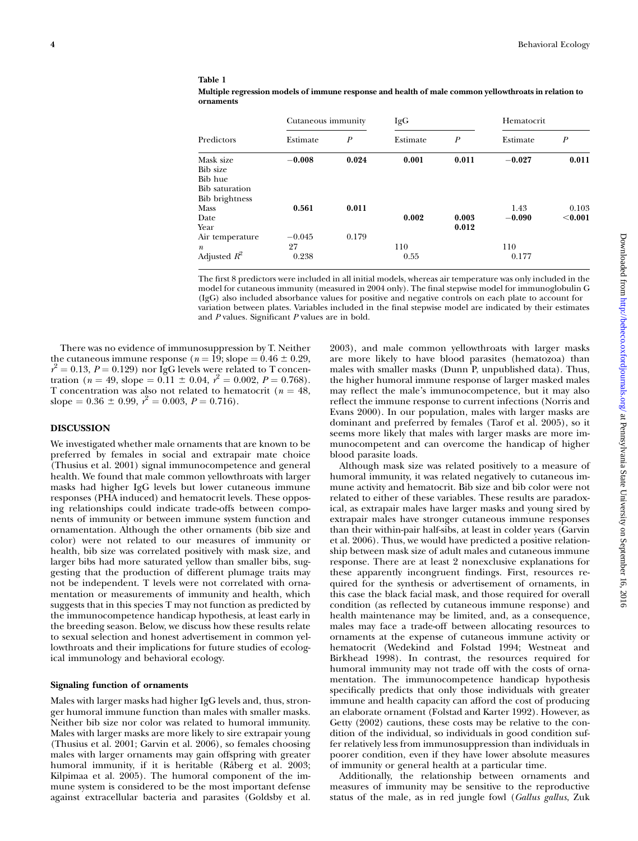#### Table 1

Multiple regression models of immune response and health of male common yellowthroats in relation to ornaments

| Predictors            | Cutaneous immunity |       | IgG      |       | Hematocrit |         |
|-----------------------|--------------------|-------|----------|-------|------------|---------|
|                       | Estimate           | P     | Estimate | P     | Estimate   | P       |
| Mask size<br>Bib size | $-0.008$           | 0.024 | 0.001    | 0.011 | $-0.027$   | 0.011   |
| Bib hue               |                    |       |          |       |            |         |
| Bib saturation        |                    |       |          |       |            |         |
| <b>Bib brightness</b> |                    |       |          |       |            |         |
| Mass                  | 0.561              | 0.011 |          |       | 1.43       | 0.103   |
| Date                  |                    |       | 0.002    | 0.003 | $-0.090$   | < 0.001 |
| Year                  |                    |       |          | 0.012 |            |         |
| Air temperature       | $-0.045$           | 0.179 |          |       |            |         |
| $\boldsymbol{n}$      | 27                 |       | 110      |       | 110        |         |
| Adjusted $R^2$        | 0.238              |       | 0.55     |       | 0.177      |         |

The first 8 predictors were included in all initial models, whereas air temperature was only included in the model for cutaneous immunity (measured in 2004 only). The final stepwise model for immunoglobulin G (IgG) also included absorbance values for positive and negative controls on each plate to account for variation between plates. Variables included in the final stepwise model are indicated by their estimates and P values. Significant P values are in bold.

There was no evidence of immunosuppression by T. Neither the cutaneous immune response ( $n = 19$ ; slope  $= 0.46 \pm 0.29$ ,  $r^2 = 0.13$ ,  $P = 0.129$ ) nor IgG levels were related to T concentration ( $n = 49$ , slope = 0.11  $\pm$  0.04,  $r^2 = 0.002$ ,  $P = 0.768$ ). T concentration was also not related to hematocrit ( $n = 48$ , slope =  $0.36 \pm 0.99$ ,  $r^2 = 0.003$ ,  $P = 0.716$ ).

## DISCUSSION

We investigated whether male ornaments that are known to be preferred by females in social and extrapair mate choice (Thusius et al. 2001) signal immunocompetence and general health. We found that male common yellowthroats with larger masks had higher IgG levels but lower cutaneous immune responses (PHA induced) and hematocrit levels. These opposing relationships could indicate trade-offs between components of immunity or between immune system function and ornamentation. Although the other ornaments (bib size and color) were not related to our measures of immunity or health, bib size was correlated positively with mask size, and larger bibs had more saturated yellow than smaller bibs, suggesting that the production of different plumage traits may not be independent. T levels were not correlated with ornamentation or measurements of immunity and health, which suggests that in this species T may not function as predicted by the immunocompetence handicap hypothesis, at least early in the breeding season. Below, we discuss how these results relate to sexual selection and honest advertisement in common yellowthroats and their implications for future studies of ecological immunology and behavioral ecology.

### Signaling function of ornaments

Males with larger masks had higher IgG levels and, thus, stronger humoral immune function than males with smaller masks. Neither bib size nor color was related to humoral immunity. Males with larger masks are more likely to sire extrapair young (Thusius et al. 2001; Garvin et al. 2006), so females choosing males with larger ornaments may gain offspring with greater humoral immunity, if it is heritable (Råberg et al. 2003; Kilpimaa et al. 2005). The humoral component of the immune system is considered to be the most important defense against extracellular bacteria and parasites (Goldsby et al.

2003), and male common yellowthroats with larger masks are more likely to have blood parasites (hematozoa) than males with smaller masks (Dunn P, unpublished data). Thus, the higher humoral immune response of larger masked males may reflect the male's immunocompetence, but it may also reflect the immune response to current infections (Norris and Evans 2000). In our population, males with larger masks are dominant and preferred by females (Tarof et al. 2005), so it seems more likely that males with larger masks are more immunocompetent and can overcome the handicap of higher blood parasite loads.

Although mask size was related positively to a measure of humoral immunity, it was related negatively to cutaneous immune activity and hematocrit. Bib size and bib color were not related to either of these variables. These results are paradoxical, as extrapair males have larger masks and young sired by extrapair males have stronger cutaneous immune responses than their within-pair half-sibs, at least in colder years (Garvin et al. 2006). Thus, we would have predicted a positive relationship between mask size of adult males and cutaneous immune response. There are at least 2 nonexclusive explanations for these apparently incongruent findings. First, resources required for the synthesis or advertisement of ornaments, in this case the black facial mask, and those required for overall condition (as reflected by cutaneous immune response) and health maintenance may be limited, and, as a consequence, males may face a trade-off between allocating resources to ornaments at the expense of cutaneous immune activity or hematocrit (Wedekind and Folstad 1994; Westneat and Birkhead 1998). In contrast, the resources required for humoral immunity may not trade off with the costs of ornamentation. The immunocompetence handicap hypothesis specifically predicts that only those individuals with greater immune and health capacity can afford the cost of producing an elaborate ornament (Folstad and Karter 1992). However, as Getty (2002) cautions, these costs may be relative to the condition of the individual, so individuals in good condition suffer relatively less from immunosuppression than individuals in poorer condition, even if they have lower absolute measures of immunity or general health at a particular time.

Additionally, the relationship between ornaments and measures of immunity may be sensitive to the reproductive status of the male, as in red jungle fowl (Gallus gallus, Zuk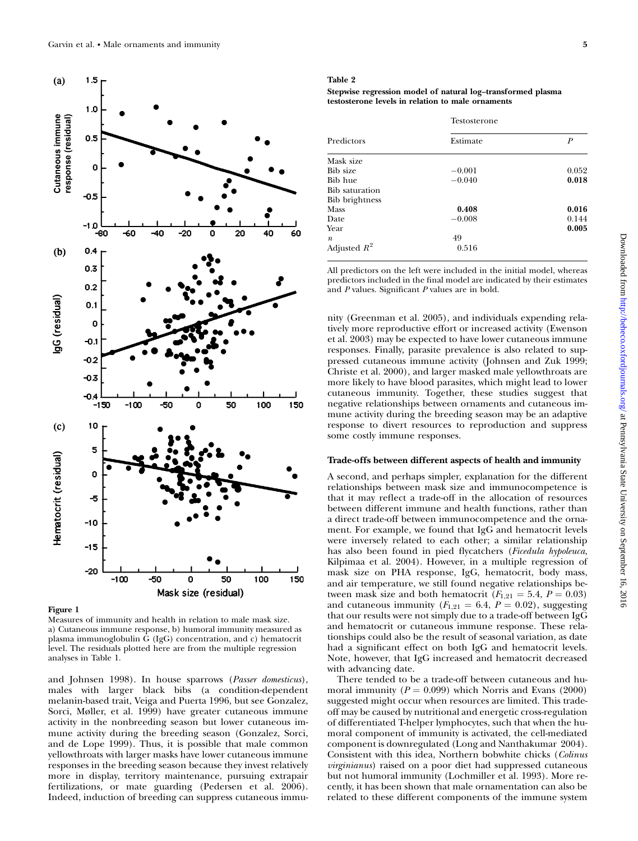

Figure 1

Measures of immunity and health in relation to male mask size. a) Cutaneous immune response, b) humoral immunity measured as plasma immunoglobulin G (IgG) concentration, and c) hematocrit level. The residuals plotted here are from the multiple regression analyses in Table 1.

and Johnsen 1998). In house sparrows (Passer domesticus), males with larger black bibs (a condition-dependent melanin-based trait, Veiga and Puerta 1996, but see Gonzalez, Sorci, Møller, et al. 1999) have greater cutaneous immune activity in the nonbreeding season but lower cutaneous immune activity during the breeding season (Gonzalez, Sorci, and de Lope 1999). Thus, it is possible that male common yellowthroats with larger masks have lower cutaneous immune responses in the breeding season because they invest relatively more in display, territory maintenance, pursuing extrapair fertilizations, or mate guarding (Pedersen et al. 2006). Indeed, induction of breeding can suppress cutaneous immu-

#### Table 2

#### Stepwise regression model of natural log–transformed plasma testosterone levels in relation to male ornaments

|                       | Testosterone |       |  |  |
|-----------------------|--------------|-------|--|--|
| Predictors            | Estimate     | Ρ     |  |  |
| Mask size             |              |       |  |  |
| Bib size              | $-0.001$     | 0.052 |  |  |
| Bib hue               | $-0.040$     | 0.018 |  |  |
| <b>Bib</b> saturation |              |       |  |  |
| Bib brightness        |              |       |  |  |
| Mass                  | 0.408        | 0.016 |  |  |
| Date                  | $-0.008$     | 0.144 |  |  |
| Year                  |              | 0.005 |  |  |
| $\boldsymbol{n}$      | 49           |       |  |  |
| Adjusted $R^2$        | 0.516        |       |  |  |

All predictors on the left were included in the initial model, whereas predictors included in the final model are indicated by their estimates and P values. Significant P values are in bold.

nity (Greenman et al. 2005), and individuals expending relatively more reproductive effort or increased activity (Ewenson et al. 2003) may be expected to have lower cutaneous immune responses. Finally, parasite prevalence is also related to suppressed cutaneous immune activity (Johnsen and Zuk 1999; Christe et al. 2000), and larger masked male yellowthroats are more likely to have blood parasites, which might lead to lower cutaneous immunity. Together, these studies suggest that negative relationships between ornaments and cutaneous immune activity during the breeding season may be an adaptive response to divert resources to reproduction and suppress some costly immune responses.

# Trade-offs between different aspects of health and immunity

A second, and perhaps simpler, explanation for the different relationships between mask size and immunocompetence is that it may reflect a trade-off in the allocation of resources between different immune and health functions, rather than a direct trade-off between immunocompetence and the ornament. For example, we found that IgG and hematocrit levels were inversely related to each other; a similar relationship has also been found in pied flycatchers (Ficedula hypoleuca, Kilpimaa et al. 2004). However, in a multiple regression of mask size on PHA response, IgG, hematocrit, body mass, and air temperature, we still found negative relationships between mask size and both hematocrit ( $F_{1,21} = 5.4$ ,  $P = 0.03$ ) and cutaneous immunity ( $F_{1,21} = 6.4$ ,  $P = 0.02$ ), suggesting that our results were not simply due to a trade-off between IgG and hematocrit or cutaneous immune response. These relationships could also be the result of seasonal variation, as date had a significant effect on both IgG and hematocrit levels. Note, however, that IgG increased and hematocrit decreased with advancing date.

There tended to be a trade-off between cutaneous and humoral immunity ( $P = 0.099$ ) which Norris and Evans (2000) suggested might occur when resources are limited. This tradeoff may be caused by nutritional and energetic cross-regulation of differentiated T-helper lymphocytes, such that when the humoral component of immunity is activated, the cell-mediated component is downregulated (Long and Nanthakumar 2004). Consistent with this idea, Northern bobwhite chicks (Colinus virginianus) raised on a poor diet had suppressed cutaneous but not humoral immunity (Lochmiller et al. 1993). More recently, it has been shown that male ornamentation can also be related to these different components of the immune system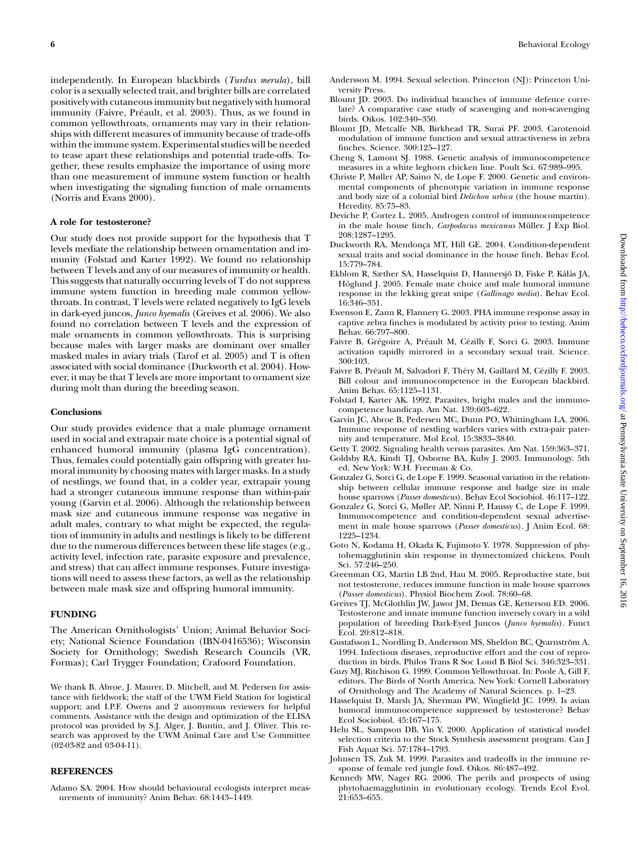independently. In European blackbirds (Turdus merula), bill color is a sexually selected trait, and brighter bills are correlated positively with cutaneous immunity but negatively with humoral immunity (Faivre, Préault, et al. 2003). Thus, as we found in common yellowthroats, ornaments may vary in their relationships with different measures of immunity because of trade-offs within the immune system. Experimental studies will be needed to tease apart these relationships and potential trade-offs. Together, these results emphasize the importance of using more than one measurement of immune system function or health when investigating the signaling function of male ornaments (Norris and Evans 2000).

# A role for testosterone?

Our study does not provide support for the hypothesis that T levels mediate the relationship between ornamentation and immunity (Folstad and Karter 1992). We found no relationship between T levels and any of our measures of immunity or health. This suggests that naturally occurring levels of T do not suppress immune system function in breeding male common yellowthroats. In contrast, T levels were related negatively to IgG levels in dark-eyed juncos, Junco hyemalis (Greives et al. 2006). We also found no correlation between T levels and the expression of male ornaments in common yellowthroats. This is surprising because males with larger masks are dominant over smaller masked males in aviary trials (Tarof et al. 2005) and T is often associated with social dominance (Duckworth et al. 2004). However, it may be that T levels are more important to ornament size during molt than during the breeding season.

### **Conclusions**

Our study provides evidence that a male plumage ornament used in social and extrapair mate choice is a potential signal of enhanced humoral immunity (plasma IgG concentration). Thus, females could potentially gain offspring with greater humoral immunity by choosing mates with larger masks. In a study of nestlings, we found that, in a colder year, extrapair young had a stronger cutaneous immune response than within-pair young (Garvin et al. 2006). Although the relationship between mask size and cutaneous immune response was negative in adult males, contrary to what might be expected, the regulation of immunity in adults and nestlings is likely to be different due to the numerous differences between these life stages (e.g., activity level, infection rate, parasite exposure and prevalence, and stress) that can affect immune responses. Future investigations will need to assess these factors, as well as the relationship between male mask size and offspring humoral immunity.

# FUNDING

The American Ornithologists' Union; Animal Behavior Society; National Science Foundation (IBN-0416536); Wisconsin Society for Ornithology; Swedish Research Councils (VR, Formas); Carl Trygger Foundation; Crafoord Foundation.

We thank B. Abroe, J. Maurer, D. Mitchell, and M. Pedersen for assistance with fieldwork; the staff of the UWM Field Station for logistical support; and I.P.F. Owens and 2 anonymous reviewers for helpful comments. Assistance with the design and optimization of the ELISA protocol was provided by S.J. Alger, J. Buntin, and J. Oliver. This research was approved by the UWM Animal Care and Use Committee (02-03-82 and 03-04-11).

## **REFERENCES**

Adamo SA. 2004. How should behavioural ecologists interpret measurements of immunity? Anim Behav. 68:1443–1449.

- Andersson M. 1994. Sexual selection. Princeton (NJ): Princeton University Press.
- Blount JD. 2003. Do individual branches of immune defence correlate? A comparative case study of scavenging and non-scavenging birds. Oikos. 102:340–350.
- Blount JD, Metcalfe NB, Birkhead TR, Surai PF. 2003. Carotenoid modulation of immune function and sexual attractiveness in zebra finches. Science. 300:125–127.
- Cheng S, Lamont SJ. 1988. Genetic analysis of immunocompetence measures in a white leghorn chicken line. Poult Sci. 67:989–995.
- Christe P, Møller AP, Saino N, de Lope F. 2000. Genetic and environmental components of phenotypic variation in immune response and body size of a colonial bird Delichon urbica (the house martin). Heredity. 85:75–83.
- Deviche P, Cortez L. 2005. Androgen control of immunocompetence in the male house finch, *Carpodacus mexicanus* Müller. J Exp Biol. 208:1287–1295.
- Duckworth RA, Mendonc*x*a MT, Hill GE. 2004. Condition-dependent sexual traits and social dominance in the house finch. Behav Ecol. 15:779–784.
- Ekblom R, Sæther SA, Hasselquist D, Hannersjö D, Fiske P, Kålås JA, Höglund J. 2005. Female mate choice and male humoral immune response in the lekking great snipe (Gallinago media). Behav Ecol. 16:346–351.
- Ewenson E, Zann R, Flannery G. 2003. PHA immune response assay in captive zebra finches is modulated by activity prior to testing. Anim Behav. 66:797–800.
- Faivre B, Grégoire A, Préault M, Cézilly F, Sorci G. 2003. Immune activation rapidly mirrored in a secondary sexual trait. Science. 300:103.
- Faivre B, Préault M, Salvadori F, Théry M, Gaillard M, Cézilly F. 2003. Bill colour and immunocompetence in the European blackbird. Anim Behav. 65:1125–1131.
- Folstad I, Karter AK. 1992. Parasites, bright males and the immunocompetence handicap. Am Nat. 139:603–622.
- Garvin JC, Abroe B, Pedersen MC, Dunn PO, Whittingham LA. 2006. Immune response of nestling warblers varies with extra-pair paternity and temperature. Mol Ecol. 15:3833–3840.
- Getty T. 2002. Signaling health versus parasites. Am Nat. 159:363–371. Goldsby RA, Kindt TJ, Osborne BA, Kuby J. 2003. Immunology. 5th
- ed. New York: W.H. Freeman & Co. Gonzalez G, Sorci G, de Lope F. 1999. Seasonal variation in the relationship between cellular immune response and badge size in male
- house sparrows (Passer domesticus). Behav Ecol Sociobiol. 46:117–122. Gonzalez G, Sorci G, Møller AP, Ninni P, Haussy C, de Lope F. 1999. Immunocompetence and condition-dependent sexual advertisement in male house sparrows (Passer domesticus). J Anim Ecol. 68: 1225–1234.
- Goto N, Kodama H, Okada K, Fujimoto Y. 1978. Suppression of phytohemagglutinin skin response in thymectomized chickens. Poult Sci. 57:246–250.
- Greenman CG, Martin LB 2nd, Hau M. 2005. Reproductive state, but not testosterone, reduces immune function in male house sparrows (Passer domesticus). Physiol Biochem Zool. 78:60–68.
- Greives TJ, McGlothlin JW, Jawor JM, Demas GE, Ketterson ED. 2006. Testosterone and innate immune function inversely covary in a wild population of breeding Dark-Eyed Juncos (Junco hyemalis). Funct Ecol. 20:812–818.
- Gustafsson L, Nordling D, Andersson MS, Sheldon BC, Qvarnström A. 1994. Infectious diseases, reproductive effort and the cost of reproduction in birds. Philos Trans R Soc Lond B Biol Sci. 346:323–331.
- Guzy MJ, Ritchison G. 1999. Common Yellowthroat. In: Poole A, Gill F, editors. The Birds of North America. New York: Cornell Laboratory of Ornithology and The Academy of Natural Sciences. p. 1–23.
- Hasselquist D, Marsh JA, Sherman PW, Wingfield JC. 1999. Is avian humoral immunocompetence suppressed by testosterone? Behav Ecol Sociobiol. 45:167–175.
- Helu SL, Sampson DB, Yin Y. 2000. Application of statistical model selection criteria to the Stock Synthesis assessment program. Can J Fish Aquat Sci. 57:1784–1793.
- Johnsen TS, Zuk M. 1999. Parasites and tradeoffs in the immune response of female red jungle fowl. Oikos. 86:487–492.
- Kennedy MW, Nager RG. 2006. The perils and prospects of using phytohaemagglutinin in evolutionary ecology. Trends Ecol Evol. 21:653–655.